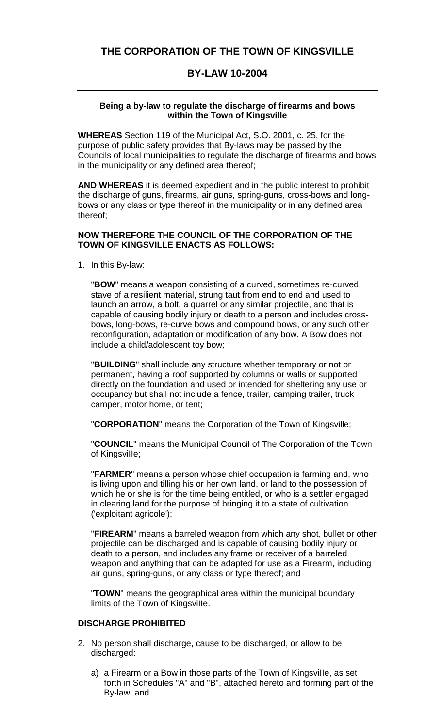# **THE CORPORATION OF THE TOWN OF KINGSVILLE**

# **BY-LAW 10-2004**

#### **Being a by-law to regulate the discharge of firearms and bows within the Town of Kingsville**

**WHEREAS** Section 119 of the Municipal Act, S.O. 2001, c. 25, for the purpose of public safety provides that By-laws may be passed by the Councils of local municipalities to regulate the discharge of firearms and bows in the municipality or any defined area thereof;

**AND WHEREAS** it is deemed expedient and in the public interest to prohibit the discharge of guns, firearms, air guns, spring-guns, cross-bows and longbows or any class or type thereof in the municipality or in any defined area thereof;

#### **NOW THEREFORE THE COUNCIL OF THE CORPORATION OF THE TOWN OF KINGSVILLE ENACTS AS FOLLOWS:**

1. In this By-law:

"**BOW**" means a weapon consisting of a curved, sometimes re-curved, stave of a resilient material, strung taut from end to end and used to launch an arrow, a bolt, a quarrel or any similar projectile, and that is capable of causing bodily injury or death to a person and includes crossbows, long-bows, re-curve bows and compound bows, or any such other reconfiguration, adaptation or modification of any bow. A Bow does not include a child/adolescent toy bow;

"**BUILDING**" shall include any structure whether temporary or not or permanent, having a roof supported by columns or walls or supported directly on the foundation and used or intended for sheltering any use or occupancy but shall not include a fence, trailer, camping trailer, truck camper, motor home, or tent;

"**CORPORATION**" means the Corporation of the Town of Kingsville;

"**COUNCIL**" means the Municipal Council of The Corporation of the Town of KingsviIIe;

"**FARMER**" means a person whose chief occupation is farming and, who is living upon and tilling his or her own land, or land to the possession of which he or she is for the time being entitled, or who is a settler engaged in clearing land for the purpose of bringing it to a state of cultivation ('exploitant agricole');

"**FIREARM**" means a barreled weapon from which any shot, bullet or other projectile can be discharged and is capable of causing bodily injury or death to a person, and includes any frame or receiver of a barreled weapon and anything that can be adapted for use as a Firearm, including air guns, spring-guns, or any class or type thereof; and

"**TOWN**" means the geographical area within the municipal boundary limits of the Town of KingsviIIe.

## **DISCHARGE PROHIBITED**

- 2. No person shall discharge, cause to be discharged, or allow to be discharged:
	- a) a Firearm or a Bow in those parts of the Town of KingsviIIe, as set forth in Schedules "A" and "B", attached hereto and forming part of the By-law; and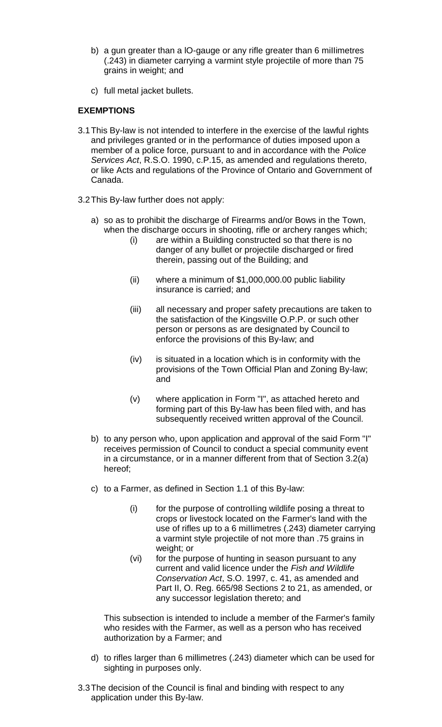- b) a gun greater than a lO-gauge or any rifle greater than 6 miIIimetres (.243) in diameter carrying a varmint style projectile of more than 75 grains in weight; and
- c) full metal jacket bullets.

## **EXEMPTIONS**

- 3.1This By-law is not intended to interfere in the exercise of the lawful rights and privileges granted or in the performance of duties imposed upon a member of a police force, pursuant to and in accordance with the *Police Services Act*, R.S.O. 1990, c.P.15, as amended and regulations thereto, or like Acts and regulations of the Province of Ontario and Government of Canada.
- 3.2This By-law further does not apply:
	- a) so as to prohibit the discharge of Firearms and/or Bows in the Town, when the discharge occurs in shooting, rifle or archery ranges which;
		- (i) are within a Building constructed so that there is no danger of any bullet or projectile discharged or fired therein, passing out of the Building; and
		- (ii) where a minimum of \$1,000,000.00 public liability insurance is carried; and
		- (iii) all necessary and proper safety precautions are taken to the satisfaction of the KingsviIIe O.P.P. or such other person or persons as are designated by Council to enforce the provisions of this By-law; and
		- (iv) is situated in a location which is in conformity with the provisions of the Town Official Plan and Zoning By-law; and
		- (v) where application in Form "I", as attached hereto and forming part of this By-law has been filed with, and has subsequently received written approval of the Council.
	- b) to any person who, upon application and approval of the said Form "I" receives permission of Council to conduct a special community event in a circumstance, or in a manner different from that of Section 3.2(a) hereof;
	- c) to a Farmer, as defined in Section 1.1 of this By-law:
		- (i) for the purpose of controIIing wildlife posing a threat to crops or livestock located on the Farmer's land with the use of rifles up to a 6 miIIimetres (.243) diameter carrying a varmint style projectile of not more than .75 grains in weight; or
		- (vi) for the purpose of hunting in season pursuant to any current and valid licence under the *Fish and Wildlife Conservation Act*, S.O. 1997, c. 41, as amended and Part II, O. Reg. 665/98 Sections 2 to 21, as amended, or any successor legislation thereto; and

This subsection is intended to include a member of the Farmer's family who resides with the Farmer, as well as a person who has received authorization by a Farmer; and

- d) to rifles larger than 6 millimetres (.243) diameter which can be used for sighting in purposes only.
- 3.3The decision of the Council is final and binding with respect to any application under this By-law.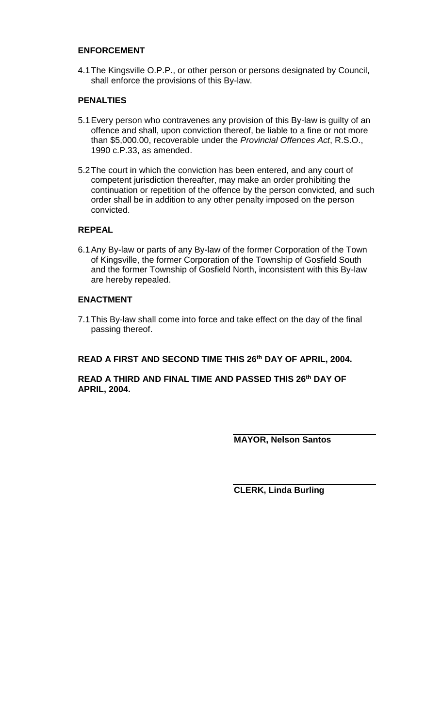### **ENFORCEMENT**

4.1The Kingsville O.P.P., or other person or persons designated by Council, shall enforce the provisions of this By-law.

## **PENALTIES**

- 5.1Every person who contravenes any provision of this By-law is guilty of an offence and shall, upon conviction thereof, be liable to a fine or not more than \$5,000.00, recoverable under the *Provincial Offences Act*, R.S.O., 1990 c.P.33, as amended.
- 5.2The court in which the conviction has been entered, and any court of competent jurisdiction thereafter, may make an order prohibiting the continuation or repetition of the offence by the person convicted, and such order shall be in addition to any other penalty imposed on the person convicted.

# **REPEAL**

6.1Any By-law or parts of any By-law of the former Corporation of the Town of Kingsville, the former Corporation of the Township of Gosfield South and the former Township of Gosfield North, inconsistent with this By-law are hereby repealed.

## **ENACTMENT**

7.1This By-law shall come into force and take effect on the day of the final passing thereof.

### **READ A FIRST AND SECOND TIME THIS 26th DAY OF APRIL, 2004.**

**READ A THIRD AND FINAL TIME AND PASSED THIS 26th DAY OF APRIL, 2004.**

**MAYOR, Nelson Santos**

**CLERK, Linda Burling**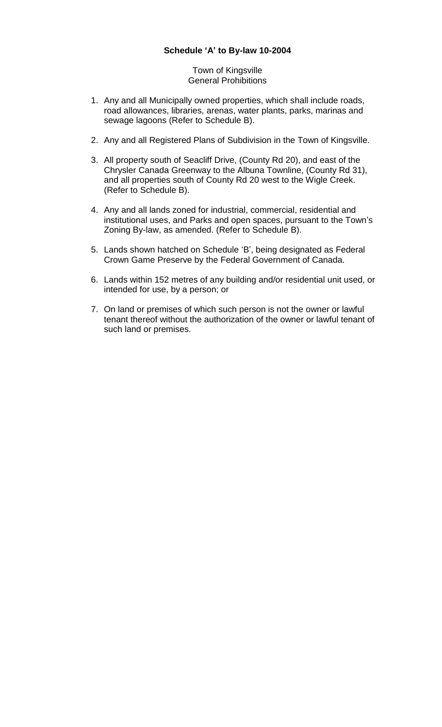Town of Kingsville General Prohibitions

- 1. Any and all Municipally owned properties, which shall include roads, road allowances, libraries, arenas, water plants, parks, marinas and sewage lagoons (Refer to Schedule B).
- 2. Any and all Registered Plans of Subdivision in the Town of Kingsville.
- 3. All property south of Seacliff Drive, (County Rd 20), and east of the Chrysler Canada Greenway to the Albuna Townline, (County Rd 31), and all properties south of County Rd 20 west to the Wigle Creek. (Refer to Schedule B).
- 4. Any and all lands zoned for industrial, commercial, residential and institutional uses, and Parks and open spaces, pursuant to the Town's Zoning By-law, as amended. (Refer to Schedule B).
- 5. Lands shown hatched on Schedule 'B', being designated as Federal Crown Game Preserve by the Federal Government of Canada.
- 6. Lands within 152 metres of any building and/or residential unit used, or intended for use, by a person; or
- 7. On land or premises of which such person is not the owner or lawful tenant thereof without the authorization of the owner or lawful tenant of such land or premises.